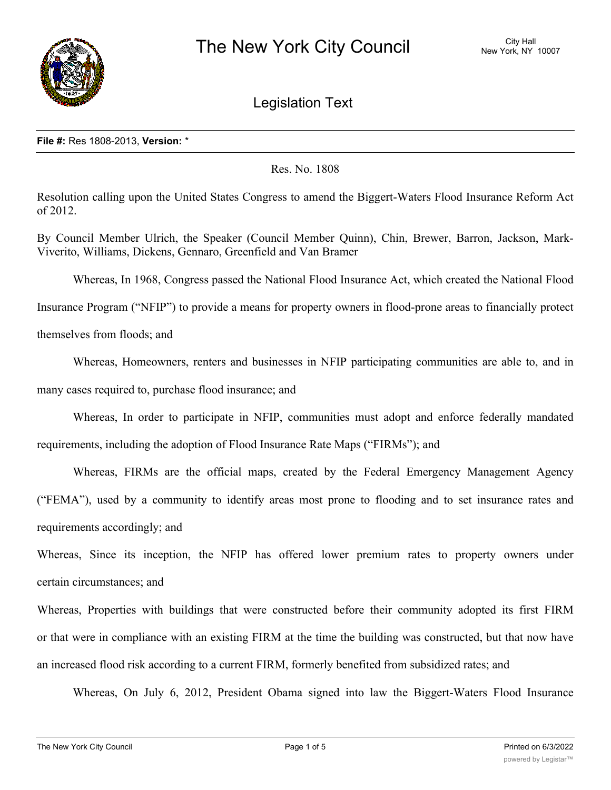

Legislation Text

#### **File #:** Res 1808-2013, **Version:** \*

## Res. No. 1808

Resolution calling upon the United States Congress to amend the Biggert-Waters Flood Insurance Reform Act of 2012.

By Council Member Ulrich, the Speaker (Council Member Quinn), Chin, Brewer, Barron, Jackson, Mark-Viverito, Williams, Dickens, Gennaro, Greenfield and Van Bramer

Whereas, In 1968, Congress passed the National Flood Insurance Act, which created the National Flood

Insurance Program ("NFIP") to provide a means for property owners in flood-prone areas to financially protect

themselves from floods; and

Whereas, Homeowners, renters and businesses in NFIP participating communities are able to, and in many cases required to, purchase flood insurance; and

Whereas, In order to participate in NFIP, communities must adopt and enforce federally mandated requirements, including the adoption of Flood Insurance Rate Maps ("FIRMs"); and

Whereas, FIRMs are the official maps, created by the Federal Emergency Management Agency ("FEMA"), used by a community to identify areas most prone to flooding and to set insurance rates and requirements accordingly; and

Whereas, Since its inception, the NFIP has offered lower premium rates to property owners under certain circumstances; and

Whereas, Properties with buildings that were constructed before their community adopted its first FIRM or that were in compliance with an existing FIRM at the time the building was constructed, but that now have an increased flood risk according to a current FIRM, formerly benefited from subsidized rates; and

Whereas, On July 6, 2012, President Obama signed into law the Biggert-Waters Flood Insurance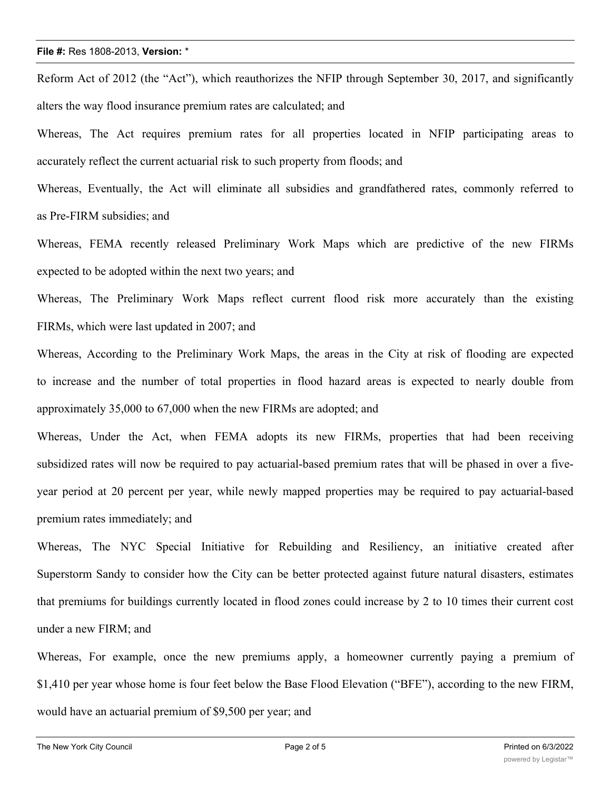Reform Act of 2012 (the "Act"), which reauthorizes the NFIP through September 30, 2017, and significantly alters the way flood insurance premium rates are calculated; and

Whereas, The Act requires premium rates for all properties located in NFIP participating areas to accurately reflect the current actuarial risk to such property from floods; and

Whereas, Eventually, the Act will eliminate all subsidies and grandfathered rates, commonly referred to as Pre-FIRM subsidies; and

Whereas, FEMA recently released Preliminary Work Maps which are predictive of the new FIRMs expected to be adopted within the next two years; and

Whereas, The Preliminary Work Maps reflect current flood risk more accurately than the existing FIRMs, which were last updated in 2007; and

Whereas, According to the Preliminary Work Maps, the areas in the City at risk of flooding are expected to increase and the number of total properties in flood hazard areas is expected to nearly double from approximately 35,000 to 67,000 when the new FIRMs are adopted; and

Whereas, Under the Act, when FEMA adopts its new FIRMs, properties that had been receiving subsidized rates will now be required to pay actuarial-based premium rates that will be phased in over a fiveyear period at 20 percent per year, while newly mapped properties may be required to pay actuarial-based premium rates immediately; and

Whereas, The NYC Special Initiative for Rebuilding and Resiliency, an initiative created after Superstorm Sandy to consider how the City can be better protected against future natural disasters, estimates that premiums for buildings currently located in flood zones could increase by 2 to 10 times their current cost under a new FIRM; and

Whereas, For example, once the new premiums apply, a homeowner currently paying a premium of \$1,410 per year whose home is four feet below the Base Flood Elevation ("BFE"), according to the new FIRM, would have an actuarial premium of \$9,500 per year; and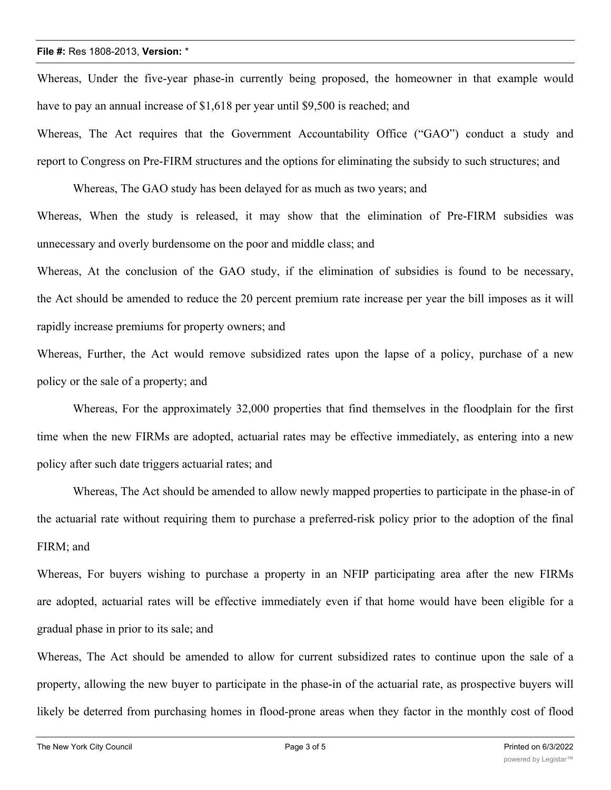Whereas, Under the five-year phase-in currently being proposed, the homeowner in that example would have to pay an annual increase of \$1,618 per year until \$9,500 is reached; and

Whereas, The Act requires that the Government Accountability Office ("GAO") conduct a study and report to Congress on Pre-FIRM structures and the options for eliminating the subsidy to such structures; and

Whereas, The GAO study has been delayed for as much as two years; and

Whereas, When the study is released, it may show that the elimination of Pre-FIRM subsidies was unnecessary and overly burdensome on the poor and middle class; and

Whereas, At the conclusion of the GAO study, if the elimination of subsidies is found to be necessary, the Act should be amended to reduce the 20 percent premium rate increase per year the bill imposes as it will rapidly increase premiums for property owners; and

Whereas, Further, the Act would remove subsidized rates upon the lapse of a policy, purchase of a new policy or the sale of a property; and

Whereas, For the approximately 32,000 properties that find themselves in the floodplain for the first time when the new FIRMs are adopted, actuarial rates may be effective immediately, as entering into a new policy after such date triggers actuarial rates; and

Whereas, The Act should be amended to allow newly mapped properties to participate in the phase-in of the actuarial rate without requiring them to purchase a preferred-risk policy prior to the adoption of the final FIRM; and

Whereas, For buyers wishing to purchase a property in an NFIP participating area after the new FIRMs are adopted, actuarial rates will be effective immediately even if that home would have been eligible for a gradual phase in prior to its sale; and

Whereas, The Act should be amended to allow for current subsidized rates to continue upon the sale of a property, allowing the new buyer to participate in the phase-in of the actuarial rate, as prospective buyers will likely be deterred from purchasing homes in flood-prone areas when they factor in the monthly cost of flood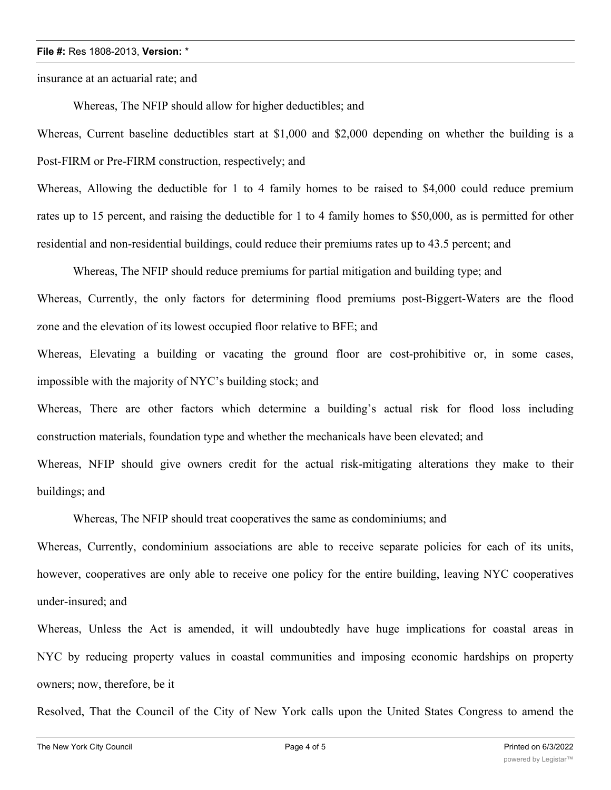insurance at an actuarial rate; and

Whereas, The NFIP should allow for higher deductibles; and

Whereas, Current baseline deductibles start at \$1,000 and \$2,000 depending on whether the building is a Post-FIRM or Pre-FIRM construction, respectively; and

Whereas, Allowing the deductible for 1 to 4 family homes to be raised to \$4,000 could reduce premium rates up to 15 percent, and raising the deductible for 1 to 4 family homes to \$50,000, as is permitted for other residential and non-residential buildings, could reduce their premiums rates up to 43.5 percent; and

Whereas, The NFIP should reduce premiums for partial mitigation and building type; and Whereas, Currently, the only factors for determining flood premiums post-Biggert-Waters are the flood zone and the elevation of its lowest occupied floor relative to BFE; and

Whereas, Elevating a building or vacating the ground floor are cost-prohibitive or, in some cases, impossible with the majority of NYC's building stock; and

Whereas, There are other factors which determine a building's actual risk for flood loss including construction materials, foundation type and whether the mechanicals have been elevated; and

Whereas, NFIP should give owners credit for the actual risk-mitigating alterations they make to their buildings; and

Whereas, The NFIP should treat cooperatives the same as condominiums; and

Whereas, Currently, condominium associations are able to receive separate policies for each of its units, however, cooperatives are only able to receive one policy for the entire building, leaving NYC cooperatives under-insured; and

Whereas, Unless the Act is amended, it will undoubtedly have huge implications for coastal areas in NYC by reducing property values in coastal communities and imposing economic hardships on property owners; now, therefore, be it

Resolved, That the Council of the City of New York calls upon the United States Congress to amend the